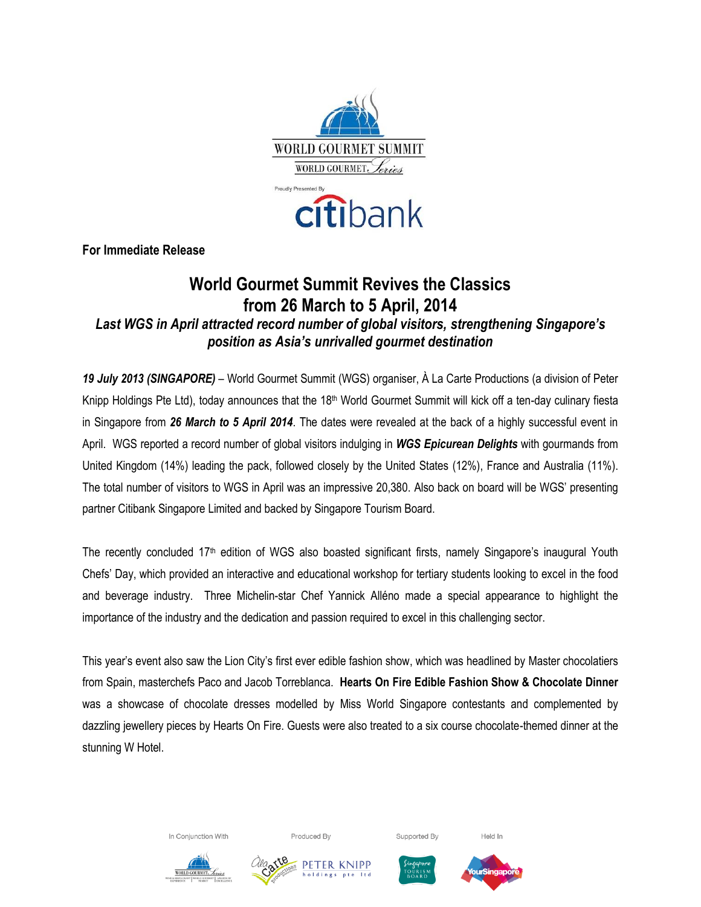

**For Immediate Release**

# **World Gourmet Summit Revives the Classics from 26 March to 5 April, 2014** *Last WGS in April attracted record number of global visitors, strengthening Singapore's position as Asia's unrivalled gourmet destination*

*19 July 2013 (SINGAPORE)* – World Gourmet Summit (WGS) organiser, À La Carte Productions (a division of Peter Knipp Holdings Pte Ltd), today announces that the 18<sup>th</sup> World Gourmet Summit will kick off a ten-day culinary fiesta in Singapore from *26 March to 5 April 2014*. The dates were revealed at the back of a highly successful event in April. WGS reported a record number of global visitors indulging in *WGS Epicurean Delights* with gourmands from United Kingdom (14%) leading the pack, followed closely by the United States (12%), France and Australia (11%). The total number of visitors to WGS in April was an impressive 20,380. Also back on board will be WGS' presenting partner Citibank Singapore Limited and backed by Singapore Tourism Board.

The recently concluded 17th edition of WGS also boasted significant firsts, namely Singapore's inaugural Youth Chefs' Day, which provided an interactive and educational workshop for tertiary students looking to excel in the food and beverage industry. Three Michelin-star Chef Yannick Alléno made a special appearance to highlight the importance of the industry and the dedication and passion required to excel in this challenging sector.

This year's event also saw the Lion City's first ever edible fashion show, which was headlined by Master chocolatiers from Spain, masterchefs Paco and Jacob Torreblanca. **Hearts On Fire Edible Fashion Show & Chocolate Dinner** was a showcase of chocolate dresses modelled by Miss World Singapore contestants and complemented by dazzling jewellery pieces by Hearts On Fire. Guests were also treated to a six course chocolate-themed dinner at the stunning W Hotel.





Supported By









Held In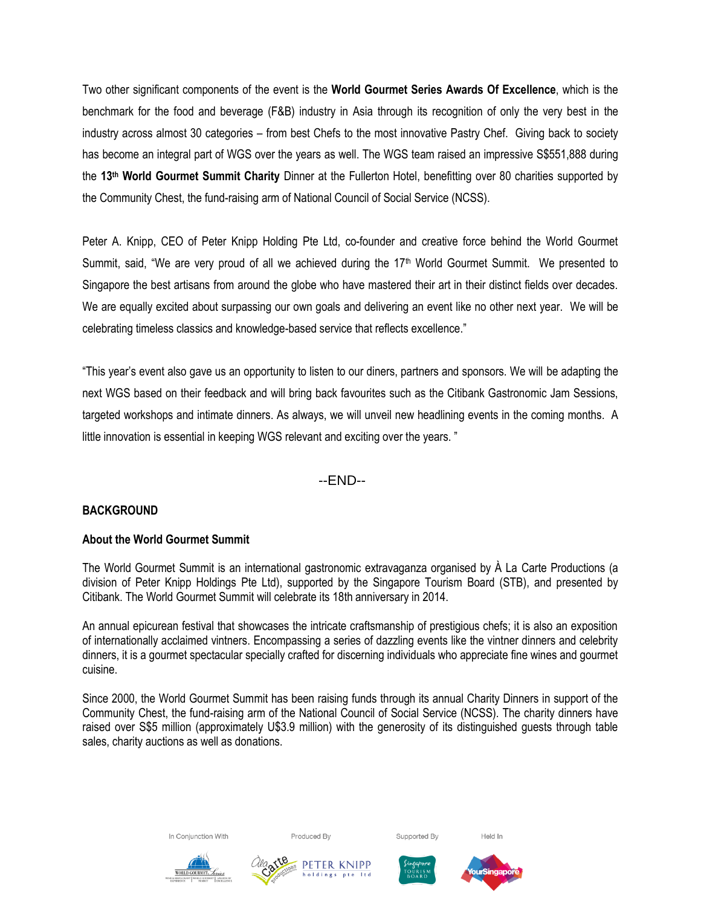Two other significant components of the event is the **World Gourmet Series Awards Of Excellence**, which is the benchmark for the food and beverage (F&B) industry in Asia through its recognition of only the very best in the industry across almost 30 categories – from best Chefs to the most innovative Pastry Chef. Giving back to society has become an integral part of WGS over the years as well. The WGS team raised an impressive S\$551,888 during the **13th World Gourmet Summit Charity** Dinner at the Fullerton Hotel, benefitting over 80 charities supported by the Community Chest, the fund-raising arm of National Council of Social Service (NCSS).

Peter A. Knipp, CEO of Peter Knipp Holding Pte Ltd, co-founder and creative force behind the World Gourmet Summit, said, "We are very proud of all we achieved during the 17<sup>th</sup> World Gourmet Summit. We presented to Singapore the best artisans from around the globe who have mastered their art in their distinct fields over decades. We are equally excited about surpassing our own goals and delivering an event like no other next year. We will be celebrating timeless classics and knowledge-based service that reflects excellence."

"This year's event also gave us an opportunity to listen to our diners, partners and sponsors. We will be adapting the next WGS based on their feedback and will bring back favourites such as the Citibank Gastronomic Jam Sessions, targeted workshops and intimate dinners. As always, we will unveil new headlining events in the coming months. A little innovation is essential in keeping WGS relevant and exciting over the years. "

--END--

# **BACKGROUND**

# **About the World Gourmet Summit**

The World Gourmet Summit is an international gastronomic extravaganza organised by À La Carte Productions (a division of Peter Knipp Holdings Pte Ltd), supported by the Singapore Tourism Board (STB), and presented by Citibank. The World Gourmet Summit will celebrate its 18th anniversary in 2014.

An annual epicurean festival that showcases the intricate craftsmanship of prestigious chefs; it is also an exposition of internationally acclaimed vintners. Encompassing a series of dazzling events like the vintner dinners and celebrity dinners, it is a gourmet spectacular specially crafted for discerning individuals who appreciate fine wines and gourmet cuisine.

Since 2000, the World Gourmet Summit has been raising funds through its annual Charity Dinners in support of the Community Chest, the fund-raising arm of the National Council of Social Service (NCSS). The charity dinners have raised over S\$5 million (approximately U\$3.9 million) with the generosity of its distinguished guests through table sales, charity auctions as well as donations.

In Conjunction With

Produced By

Supported By

Held In